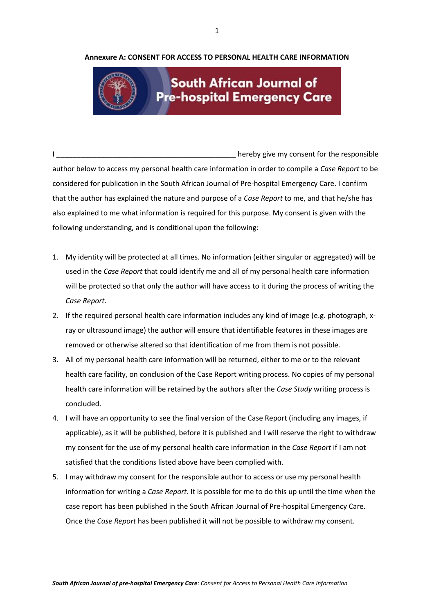## **Annexure A: CONSENT FOR ACCESS TO PERSONAL HEALTH CARE INFORMATION**



## **South African Journal of Pre-hospital Emergency Care**

I allows the consent of the responsible in the responsible in the responsible in the responsible in the responsible author below to access my personal health care information in order to compile a *Case Report* to be considered for publication in the South African Journal of Pre-hospital Emergency Care. I confirm that the author has explained the nature and purpose of a *Case Report* to me, and that he/she has also explained to me what information is required for this purpose. My consent is given with the following understanding, and is conditional upon the following:

- 1. My identity will be protected at all times. No information (either singular or aggregated) will be used in the *Case Report* that could identify me and all of my personal health care information will be protected so that only the author will have access to it during the process of writing the *Case Report*.
- 2. If the required personal health care information includes any kind of image (e.g. photograph, xray or ultrasound image) the author will ensure that identifiable features in these images are removed or otherwise altered so that identification of me from them is not possible.
- 3. All of my personal health care information will be returned, either to me or to the relevant health care facility, on conclusion of the Case Report writing process. No copies of my personal health care information will be retained by the authors after the *Case Study* writing process is concluded.
- 4. I will have an opportunity to see the final version of the Case Report (including any images, if applicable), as it will be published, before it is published and I will reserve the right to withdraw my consent for the use of my personal health care information in the *Case Report* if I am not satisfied that the conditions listed above have been complied with.
- 5. I may withdraw my consent for the responsible author to access or use my personal health information for writing a *Case Report*. It is possible for me to do this up until the time when the case report has been published in the South African Journal of Pre-hospital Emergency Care. Once the *Case Report* has been published it will not be possible to withdraw my consent.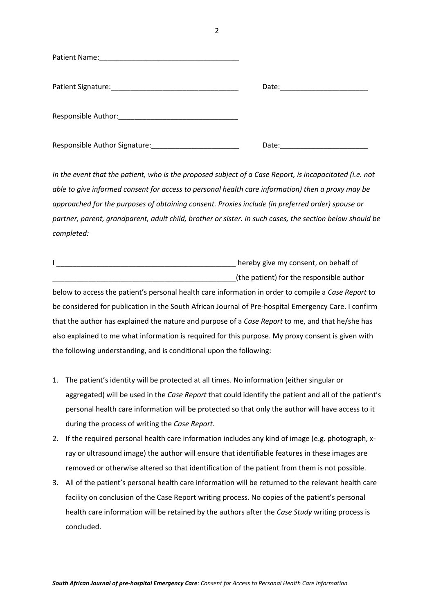| Patient Name:<br><u> 1989 - Johann John Stein, markin fan it ferstjer fan de ferstjer fan it ferstjer fan it ferstjer fan it fers</u> |       |
|---------------------------------------------------------------------------------------------------------------------------------------|-------|
| Patient Signature: National Patient Signature:                                                                                        | Date: |
| Responsible Author: National Property of the Author:                                                                                  |       |
| Responsible Author Signature:                                                                                                         | Date: |

*In the event that the patient, who is the proposed subject of a Case Report, is incapacitated (i.e. not able to give informed consent for access to personal health care information) then a proxy may be approached for the purposes of obtaining consent. Proxies include (in preferred order) spouse or partner, parent, grandparent, adult child, brother or sister. In such cases, the section below should be completed:*

| hereby give my consent, on behalf of     |
|------------------------------------------|
|                                          |
| (the patient) for the responsible author |

below to access the patient's personal health care information in order to compile a *Case Report* to be considered for publication in the South African Journal of Pre-hospital Emergency Care. I confirm that the author has explained the nature and purpose of a *Case Report* to me, and that he/she has also explained to me what information is required for this purpose. My proxy consent is given with the following understanding, and is conditional upon the following:

- 1. The patient's identity will be protected at all times. No information (either singular or aggregated) will be used in the *Case Report* that could identify the patient and all of the patient's personal health care information will be protected so that only the author will have access to it during the process of writing the *Case Report*.
- 2. If the required personal health care information includes any kind of image (e.g. photograph, xray or ultrasound image) the author will ensure that identifiable features in these images are removed or otherwise altered so that identification of the patient from them is not possible.
- 3. All of the patient's personal health care information will be returned to the relevant health care facility on conclusion of the Case Report writing process. No copies of the patient's personal health care information will be retained by the authors after the *Case Study* writing process is concluded.

2